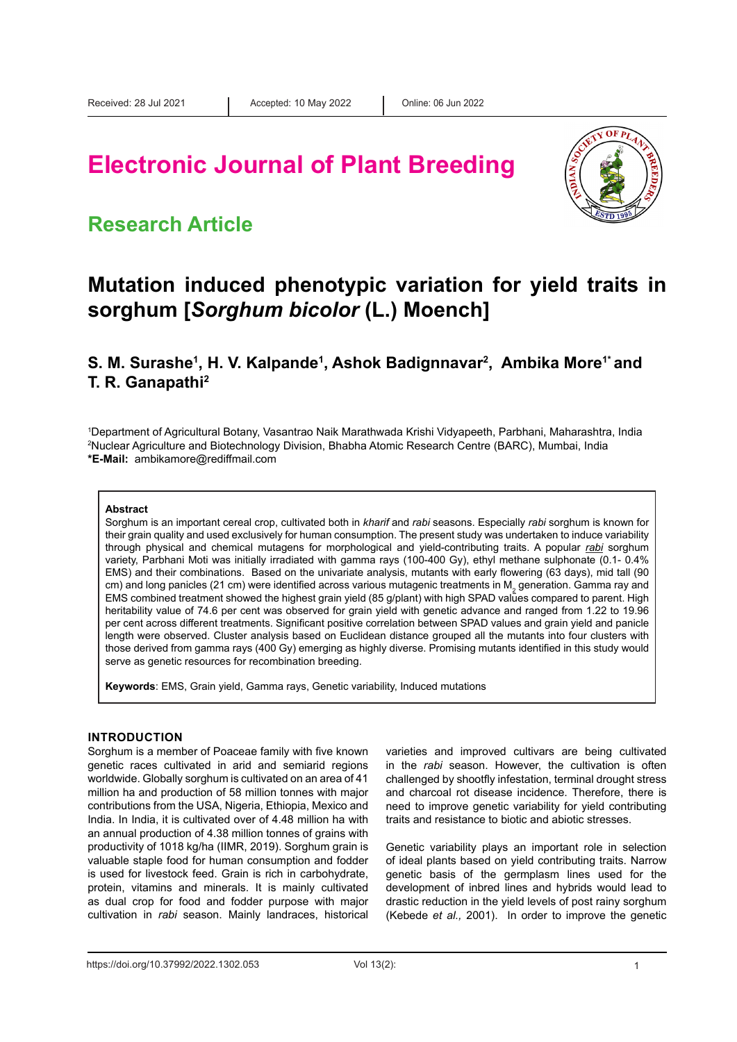# **Electronic Journal of Plant Breeding**

## **Research Article**



# **Mutation induced phenotypic variation for yield traits in sorghum [***Sorghum bicolor* **(L.) Moench]**

### **S. M. Surashe<sup>1</sup>, H. V. Kalpande<sup>1</sup>, Ashok Badignnavar<sup>2</sup>, Ambika More<sup>1\*</sup> and T. R. Ganapathi2**

1 Department of Agricultural Botany, Vasantrao Naik Marathwada Krishi Vidyapeeth, Parbhani, Maharashtra, India 2 Nuclear Agriculture and Biotechnology Division, Bhabha Atomic Research Centre (BARC), Mumbai, India **\*E-Mail:** ambikamore@rediffmail.com

#### **Abstract**

Sorghum is an important cereal crop, cultivated both in *kharif* and *rabi* seasons. Especially *rabi* sorghum is known for their grain quality and used exclusively for human consumption. The present study was undertaken to induce variability through physical and chemical mutagens for morphological and yield-contributing traits. A popular *rabi* sorghum variety, Parbhani Moti was initially irradiated with gamma rays (100-400 Gy), ethyl methane sulphonate (0.1- 0.4% EMS) and their combinations. Based on the univariate analysis, mutants with early flowering (63 days), mid tall (90 cm) and long panicles (21 cm) were identified across various mutagenic treatments in M<sub>2</sub> generation. Gamma ray and EMS combined treatment showed the highest grain yield (85 g/plant) with high SPAD values compared to parent. High heritability value of 74.6 per cent was observed for grain yield with genetic advance and ranged from 1.22 to 19.96 per cent across different treatments. Significant positive correlation between SPAD values and grain yield and panicle length were observed. Cluster analysis based on Euclidean distance grouped all the mutants into four clusters with those derived from gamma rays (400 Gy) emerging as highly diverse. Promising mutants identified in this study would serve as genetic resources for recombination breeding.

**Keywords**: EMS, Grain yield, Gamma rays, Genetic variability, Induced mutations

### **INTRODUCTION**

Sorghum is a member of Poaceae family with five known genetic races cultivated in arid and semiarid regions worldwide. Globally sorghum is cultivated on an area of 41 million ha and production of 58 million tonnes with major contributions from the USA, Nigeria, Ethiopia, Mexico and India. In India, it is cultivated over of 4.48 million ha with an annual production of 4.38 million tonnes of grains with productivity of 1018 kg/ha (IIMR, 2019). Sorghum grain is valuable staple food for human consumption and fodder is used for livestock feed. Grain is rich in carbohydrate, protein, vitamins and minerals. It is mainly cultivated as dual crop for food and fodder purpose with major cultivation in *rabi* season. Mainly landraces, historical

varieties and improved cultivars are being cultivated in the *rabi* season. However, the cultivation is often challenged by shootfly infestation, terminal drought stress and charcoal rot disease incidence. Therefore, there is need to improve genetic variability for yield contributing traits and resistance to biotic and abiotic stresses.

Genetic variability plays an important role in selection of ideal plants based on yield contributing traits. Narrow genetic basis of the germplasm lines used for the development of inbred lines and hybrids would lead to drastic reduction in the yield levels of post rainy sorghum (Kebede *et al.,* 2001). In order to improve the genetic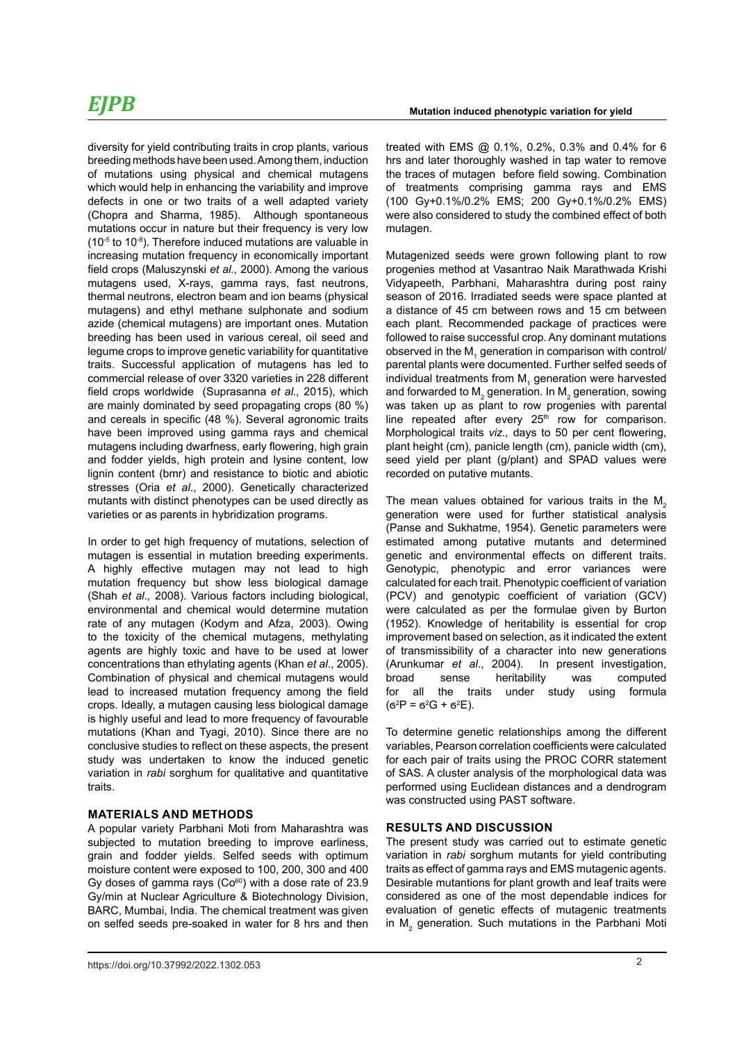diversity for yield contributing traits in crop plants, various breeding methods have been used. Among them, induction of mutations using physical and chemical mutagens which would help in enhancing the variability and improve defects in one or two traits of a well adapted variety (Chopra and Sharma, 1985). Although spontaneous mutations occur in nature but their frequency is very low  $(10<sup>-5</sup>$  to 10<sup>-8</sup>). Therefore induced mutations are valuable in increasing mutation frequency in economically important field crops (Maluszynski *et al.,* 2000). Among the various mutagens used, X-rays, gamma rays, fast neutrons, thermal neutrons, electron beam and ion beams (physical mutagens) and ethyl methane sulphonate and sodium azide (chemical mutagens) are important ones. Mutation breeding has been used in various cereal, oil seed and legume crops to improve genetic variability for quantitative traits. Successful application of mutagens has led to commercial release of over 3320 varieties in 228 different field crops worldwide (Suprasanna *et al.,* 2015), which are mainly dominated by seed propagating crops (80 %) and cereals in specific (48 %). Several agronomic traits have been improved using gamma rays and chemical mutagens including dwarfness, early flowering, high grain and fodder yields, high protein and lysine content, low lignin content (bmr) and resistance to biotic and abiotic stresses (Oria *et al*., 2000). Genetically characterized mutants with distinct phenotypes can be used directly as varieties or as parents in hybridization programs.

In order to get high frequency of mutations, selection of mutagen is essential in mutation breeding experiments. A highly effective mutagen may not lead to high mutation frequency but show less biological damage (Shah *et al.,* 2008). Various factors including biological, environmental and chemical would determine mutation rate of any mutagen (Kodym and Afza, 2003). Owing to the toxicity of the chemical mutagens, methylating agents are highly toxic and have to be used at lower concentrations than ethylating agents (Khan *et al*., 2005). Combination of physical and chemical mutagens would lead to increased mutation frequency among the field crops. Ideally, a mutagen causing less biological damage is highly useful and lead to more frequency of favourable mutations (Khan and Tyagi, 2010). Since there are no conclusive studies to reflect on these aspects, the present study was undertaken to know the induced genetic variation in *rabi* sorghum for qualitative and quantitative traits.

### **MATERIALS AND METHODS**

A popular variety Parbhani Moti from Maharashtra was subjected to mutation breeding to improve earliness, grain and fodder yields. Selfed seeds with optimum moisture content were exposed to 100, 200, 300 and 400 Gy doses of gamma rays  $(Co<sup>60</sup>)$  with a dose rate of 23.9 Gy/min at Nuclear Agriculture & Biotechnology Division, BARC, Mumbai, India. The chemical treatment was given on selfed seeds pre-soaked in water for 8 hrs and then

treated with EMS @ 0.1%, 0.2%, 0.3% and 0.4% for 6 hrs and later thoroughly washed in tap water to remove the traces of mutagen before field sowing. Combination of treatments comprising gamma rays and EMS (100 Gy+0.1%/0.2% EMS; 200 Gy+0.1%/0.2% EMS) were also considered to study the combined effect of both mutagen.

Mutagenized seeds were grown following plant to row progenies method at Vasantrao Naik Marathwada Krishi Vidyapeeth, Parbhani, Maharashtra during post rainy season of 2016. Irradiated seeds were space planted at a distance of 45 cm between rows and 15 cm between each plant. Recommended package of practices were followed to raise successful crop. Any dominant mutations observed in the  $\mathsf{M}_\mathtt{1}$  generation in comparison with control/ parental plants were documented. Further selfed seeds of individual treatments from  $\mathsf{M}_1$  generation were harvested and forwarded to  $\mathsf{M}_2$  generation. In  $\mathsf{M}_2$  generation, sowing was taken up as plant to row progenies with parental line repeated after every  $25<sup>th</sup>$  row for comparison. Morphological traits *viz.,* days to 50 per cent flowering, plant height (cm), panicle length (cm), panicle width (cm), seed yield per plant (g/plant) and SPAD values were recorded on putative mutants.

The mean values obtained for various traits in the  $M<sub>2</sub>$ generation were used for further statistical analysis (Panse and Sukhatme, 1954). Genetic parameters were estimated among putative mutants and determined genetic and environmental effects on different traits. Genotypic, phenotypic and error variances were calculated for each trait. Phenotypic coefficient of variation (PCV) and genotypic coefficient of variation (GCV) were calculated as per the formulae given by Burton (1952). Knowledge of heritability is essential for crop improvement based on selection, as it indicated the extent of transmissibility of a character into new generations (Arunkumar *et al*., 2004). In present investigation, broad sense heritability was computed for all the traits under study using formula  $(6^2P = 6^2G + 6^2E).$ 

To determine genetic relationships among the different variables, Pearson correlation coefficients were calculated for each pair of traits using the PROC CORR statement of SAS. A cluster analysis of the morphological data was performed using Euclidean distances and a dendrogram was constructed using PAST software.

### **RESULTS AND DISCUSSION**

The present study was carried out to estimate genetic variation in *rabi* sorghum mutants for yield contributing traits as effect of gamma rays and EMS mutagenic agents. Desirable mutantions for plant growth and leaf traits were considered as one of the most dependable indices for evaluation of genetic effects of mutagenic treatments in  $M<sub>2</sub>$  generation. Such mutations in the Parbhani Moti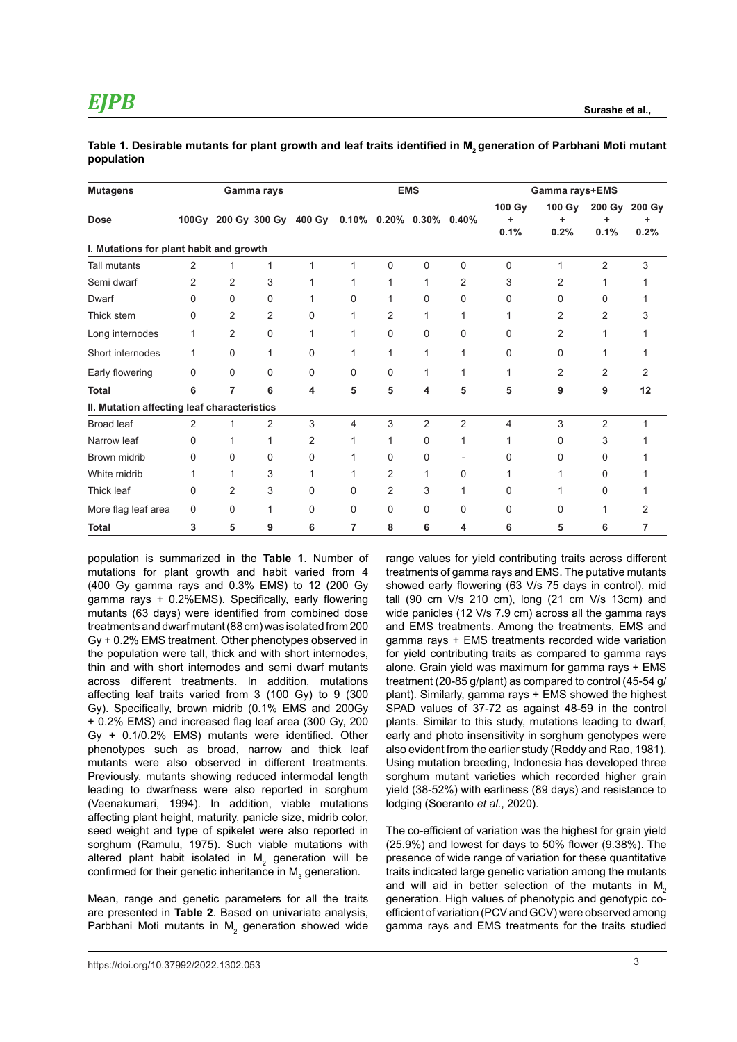| <b>Mutagens</b>                             | Gamma rays   |                |                | <b>EMS</b> |          |                            |                | Gamma rays+EMS |                |                |                |                       |
|---------------------------------------------|--------------|----------------|----------------|------------|----------|----------------------------|----------------|----------------|----------------|----------------|----------------|-----------------------|
| <b>Dose</b>                                 | 100Gy        |                | 200 Gy 300 Gy  | 400 Gy     |          | $0.10\%$ 0.20% 0.30% 0.40% |                |                | 100 Gy<br>0.1% | 100 Gy<br>0.2% | 0.1%           | 200 Gy 200 Gy<br>0.2% |
| I. Mutations for plant habit and growth     |              |                |                |            |          |                            |                |                |                |                |                |                       |
| <b>Tall mutants</b>                         | 2            | 1              | 1              | 1          | 1        | 0                          | $\Omega$       | 0              | 0              | 1              | 2              | 3                     |
| Semi dwarf                                  | 2            | 2              | 3              |            |          |                            |                | 2              | 3              | 2              |                |                       |
| Dwarf                                       | U            | 0              | 0              |            | U        | 1                          | $\Omega$       | 0              | 0              | 0              | U              |                       |
| Thick stem                                  | 0            | $\overline{2}$ | $\overline{2}$ | 0          |          | $\overline{2}$             |                | 1              |                | 2              | 2              |                       |
| Long internodes                             | 1            | $\overline{2}$ | $\Omega$       |            |          | 0                          | $\Omega$       | $\mathbf 0$    | 0              | $\overline{2}$ |                |                       |
| Short internodes                            | 1            | 0              | 1              | 0          |          | 1                          |                | 1              | 0              | 0              |                |                       |
| Early flowering                             | <sup>0</sup> | $\Omega$       | $\Omega$       | $\Omega$   | $\Omega$ | $\Omega$                   |                | 1              |                | 2              | 2              |                       |
| <b>Total</b>                                | 6            | 7              | 6              | 4          | 5        | 5                          | 4              | 5              | 5              | 9              | 9              | 12                    |
| II. Mutation affecting leaf characteristics |              |                |                |            |          |                            |                |                |                |                |                |                       |
| <b>Broad leaf</b>                           | 2            |                | 2              | 3          | 4        | 3                          | $\overline{2}$ | $\overline{2}$ | 4              | 3              | $\overline{2}$ |                       |
| Narrow leaf                                 | 0            |                |                | 2          |          |                            | 0              | 1              |                | 0              | 3              |                       |
| Brown midrib                                | 0            | 0              | 0              | 0          |          | 0                          | $\Omega$       |                | 0              | ი              | 0              |                       |
| White midrib                                |              |                | 3              |            |          | 2                          |                | 0              |                |                | ი              |                       |
| Thick leaf                                  | 0            | $\overline{2}$ | 3              | 0          | 0        | $\overline{2}$             | 3              | 1              | 0              |                | 0              |                       |
| More flag leaf area                         | 0            | 0              | 1              | 0          | 0        | 0                          | 0              | 0              | 0              | 0              |                |                       |
| <b>Total</b>                                | 3            | 5              | 9              | 6          | 7        | 8                          | 6              | 4              | 6              | 5              | 6              | 7                     |

|            | Table 1. Desirable mutants for plant growth and leaf traits identified in M, generation of Parbhani Moti mutant |  |  |
|------------|-----------------------------------------------------------------------------------------------------------------|--|--|
| population |                                                                                                                 |  |  |

population is summarized in the **Table 1**. Number of mutations for plant growth and habit varied from 4 (400 Gy gamma rays and 0.3% EMS) to 12 (200 Gy gamma rays + 0.2%EMS). Specifically, early flowering mutants (63 days) were identified from combined dose treatments and dwarf mutant (88 cm) was isolated from 200 Gy + 0.2% EMS treatment. Other phenotypes observed in the population were tall, thick and with short internodes, thin and with short internodes and semi dwarf mutants across different treatments. In addition, mutations affecting leaf traits varied from 3 (100 Gy) to 9 (300 Gy). Specifically, brown midrib (0.1% EMS and 200Gy + 0.2% EMS) and increased flag leaf area (300 Gy, 200 Gy + 0.1/0.2% EMS) mutants were identified. Other phenotypes such as broad, narrow and thick leaf mutants were also observed in different treatments. Previously, mutants showing reduced intermodal length leading to dwarfness were also reported in sorghum (Veenakumari, 1994). In addition, viable mutations affecting plant height, maturity, panicle size, midrib color, seed weight and type of spikelet were also reported in sorghum (Ramulu, 1975). Such viable mutations with altered plant habit isolated in  $\mathsf{M}_2$  generation will be confirmed for their genetic inheritance in  $\mathsf{M}_{_{\!3}}$  generation.

Mean, range and genetic parameters for all the traits are presented in **Table 2**. Based on univariate analysis, Parbhani Moti mutants in  $\mathsf{M}_2$  generation showed wide range values for yield contributing traits across different treatments of gamma rays and EMS. The putative mutants showed early flowering (63 V/s 75 days in control), mid tall (90 cm V/s 210 cm), long (21 cm V/s 13cm) and wide panicles (12 V/s 7.9 cm) across all the gamma rays and EMS treatments. Among the treatments, EMS and gamma rays + EMS treatments recorded wide variation for yield contributing traits as compared to gamma rays alone. Grain yield was maximum for gamma rays + EMS treatment (20-85 g/plant) as compared to control (45-54 g/ plant). Similarly, gamma rays + EMS showed the highest SPAD values of 37-72 as against 48-59 in the control plants. Similar to this study, mutations leading to dwarf, early and photo insensitivity in sorghum genotypes were also evident from the earlier study (Reddy and Rao, 1981). Using mutation breeding, Indonesia has developed three sorghum mutant varieties which recorded higher grain yield (38-52%) with earliness (89 days) and resistance to lodging (Soeranto *et al*., 2020).

The co-efficient of variation was the highest for grain yield (25.9%) and lowest for days to 50% flower (9.38%). The presence of wide range of variation for these quantitative traits indicated large genetic variation among the mutants and will aid in better selection of the mutants in  $M<sub>2</sub>$ generation. High values of phenotypic and genotypic coefficient of variation (PCV and GCV) were observed among gamma rays and EMS treatments for the traits studied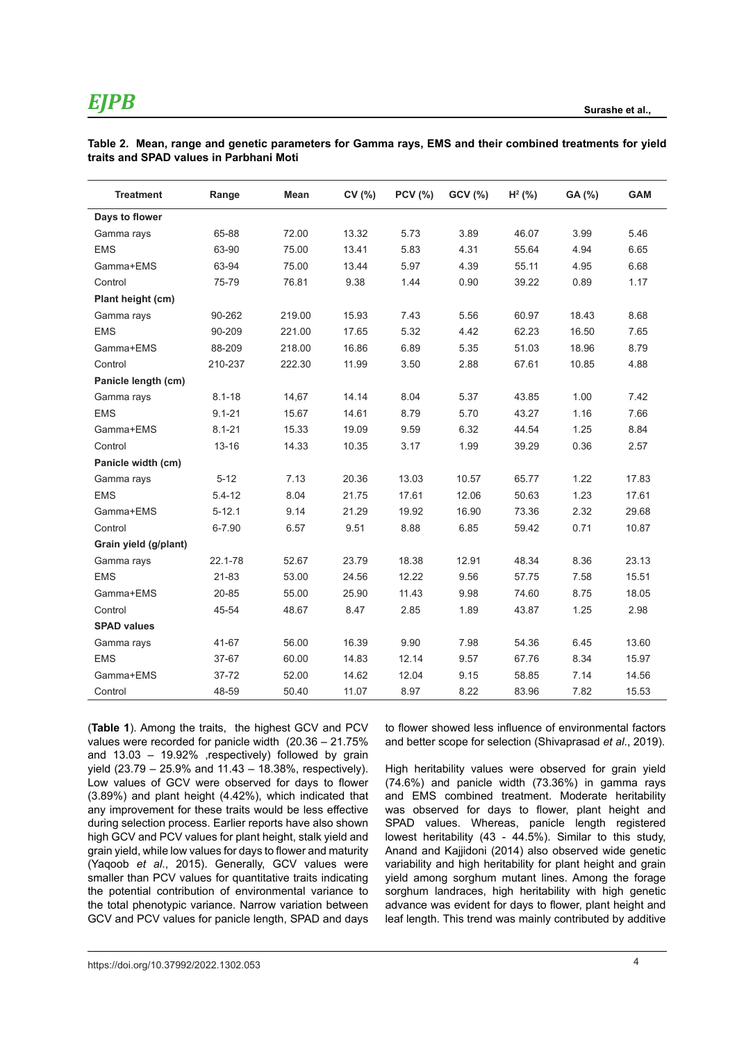| <b>Treatment</b>      | Range      | Mean   | CV (%) | <b>PCV (%)</b> | GCV (%) | $H^2$ (%) | GA (%) | <b>GAM</b> |
|-----------------------|------------|--------|--------|----------------|---------|-----------|--------|------------|
| Days to flower        |            |        |        |                |         |           |        |            |
| Gamma rays            | 65-88      | 72.00  | 13.32  | 5.73           | 3.89    | 46.07     | 3.99   | 5.46       |
| <b>EMS</b>            | 63-90      | 75.00  | 13.41  | 5.83           | 4.31    | 55.64     | 4.94   | 6.65       |
| Gamma+EMS             | 63-94      | 75.00  | 13.44  | 5.97           | 4.39    | 55.11     | 4.95   | 6.68       |
| Control               | 75-79      | 76.81  | 9.38   | 1.44           | 0.90    | 39.22     | 0.89   | 1.17       |
| Plant height (cm)     |            |        |        |                |         |           |        |            |
| Gamma rays            | 90-262     | 219.00 | 15.93  | 7.43           | 5.56    | 60.97     | 18.43  | 8.68       |
| <b>EMS</b>            | 90-209     | 221.00 | 17.65  | 5.32           | 4.42    | 62.23     | 16.50  | 7.65       |
| Gamma+EMS             | 88-209     | 218.00 | 16.86  | 6.89           | 5.35    | 51.03     | 18.96  | 8.79       |
| Control               | 210-237    | 222.30 | 11.99  | 3.50           | 2.88    | 67.61     | 10.85  | 4.88       |
| Panicle length (cm)   |            |        |        |                |         |           |        |            |
| Gamma rays            | $8.1 - 18$ | 14,67  | 14.14  | 8.04           | 5.37    | 43.85     | 1.00   | 7.42       |
| <b>EMS</b>            | $9.1 - 21$ | 15.67  | 14.61  | 8.79           | 5.70    | 43.27     | 1.16   | 7.66       |
| Gamma+EMS             | $8.1 - 21$ | 15.33  | 19.09  | 9.59           | 6.32    | 44.54     | 1.25   | 8.84       |
| Control               | $13 - 16$  | 14.33  | 10.35  | 3.17           | 1.99    | 39.29     | 0.36   | 2.57       |
| Panicle width (cm)    |            |        |        |                |         |           |        |            |
| Gamma rays            | $5 - 12$   | 7.13   | 20.36  | 13.03          | 10.57   | 65.77     | 1.22   | 17.83      |
| <b>EMS</b>            | $5.4 - 12$ | 8.04   | 21.75  | 17.61          | 12.06   | 50.63     | 1.23   | 17.61      |
| Gamma+EMS             | $5 - 12.1$ | 9.14   | 21.29  | 19.92          | 16.90   | 73.36     | 2.32   | 29.68      |
| Control               | $6 - 7.90$ | 6.57   | 9.51   | 8.88           | 6.85    | 59.42     | 0.71   | 10.87      |
| Grain yield (g/plant) |            |        |        |                |         |           |        |            |
| Gamma rays            | 22.1-78    | 52.67  | 23.79  | 18.38          | 12.91   | 48.34     | 8.36   | 23.13      |
| <b>EMS</b>            | 21-83      | 53.00  | 24.56  | 12.22          | 9.56    | 57.75     | 7.58   | 15.51      |
| Gamma+EMS             | 20-85      | 55.00  | 25.90  | 11.43          | 9.98    | 74.60     | 8.75   | 18.05      |
| Control               | 45-54      | 48.67  | 8.47   | 2.85           | 1.89    | 43.87     | 1.25   | 2.98       |
| <b>SPAD values</b>    |            |        |        |                |         |           |        |            |
| Gamma rays            | 41-67      | 56.00  | 16.39  | 9.90           | 7.98    | 54.36     | 6.45   | 13.60      |
| <b>EMS</b>            | 37-67      | 60.00  | 14.83  | 12.14          | 9.57    | 67.76     | 8.34   | 15.97      |
| Gamma+EMS             | 37-72      | 52.00  | 14.62  | 12.04          | 9.15    | 58.85     | 7.14   | 14.56      |
| Control               | 48-59      | 50.40  | 11.07  | 8.97           | 8.22    | 83.96     | 7.82   | 15.53      |

**Table 2. Mean, range and genetic parameters for Gamma rays, EMS and their combined treatments for yield traits and SPAD values in Parbhani Moti** 

(**Table 1**). Among the traits, the highest GCV and PCV values were recorded for panicle width (20.36 – 21.75% and 13.03 – 19.92% ,respectively) followed by grain yield (23.79 – 25.9% and 11.43 – 18.38%, respectively). Low values of GCV were observed for days to flower (3.89%) and plant height (4.42%), which indicated that any improvement for these traits would be less effective during selection process. Earlier reports have also shown high GCV and PCV values for plant height, stalk yield and grain yield, while low values for days to flower and maturity (Yaqoob *et al*., 2015). Generally, GCV values were smaller than PCV values for quantitative traits indicating the potential contribution of environmental variance to the total phenotypic variance. Narrow variation between GCV and PCV values for panicle length, SPAD and days

to flower showed less influence of environmental factors and better scope for selection (Shivaprasad *et al*., 2019).

High heritability values were observed for grain yield (74.6%) and panicle width (73.36%) in gamma rays and EMS combined treatment. Moderate heritability was observed for days to flower, plant height and SPAD values. Whereas, panicle length registered lowest heritability (43 - 44.5%). Similar to this study, Anand and Kajjidoni (2014) also observed wide genetic variability and high heritability for plant height and grain yield among sorghum mutant lines. Among the forage sorghum landraces, high heritability with high genetic advance was evident for days to flower, plant height and leaf length. This trend was mainly contributed by additive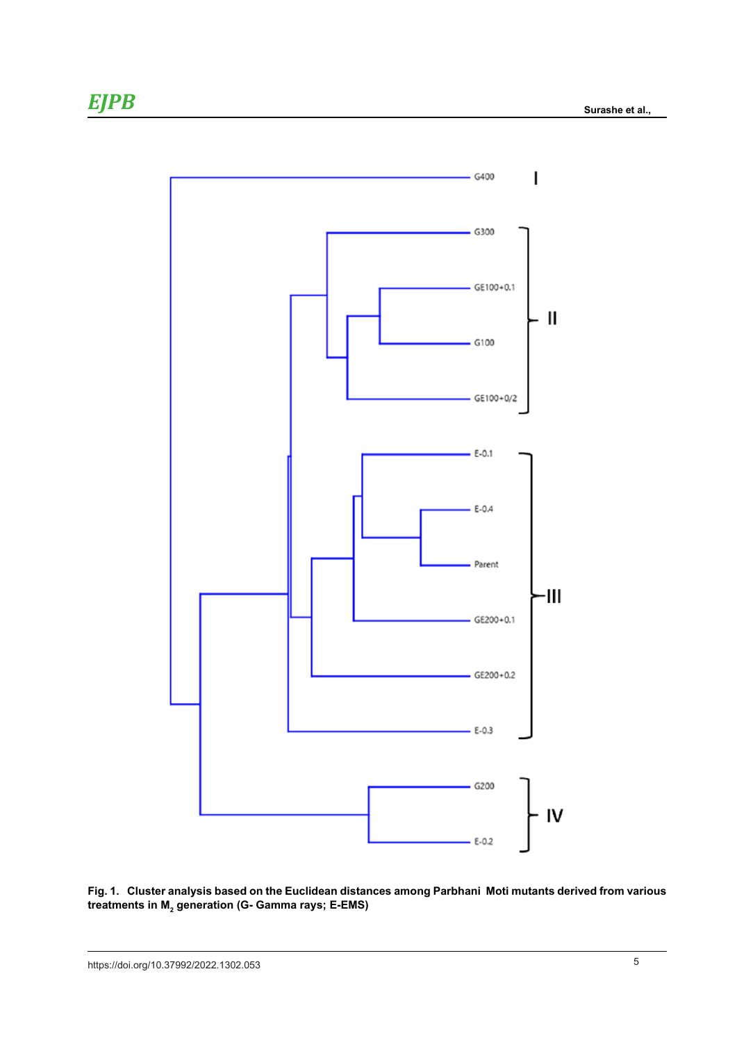

**Fig. 1. Cluster analysis based on the Euclidean distances among Parbhani Moti mutants derived from various**  treatments in M<sub>2</sub> generation (G- Gamma rays; E-EMS)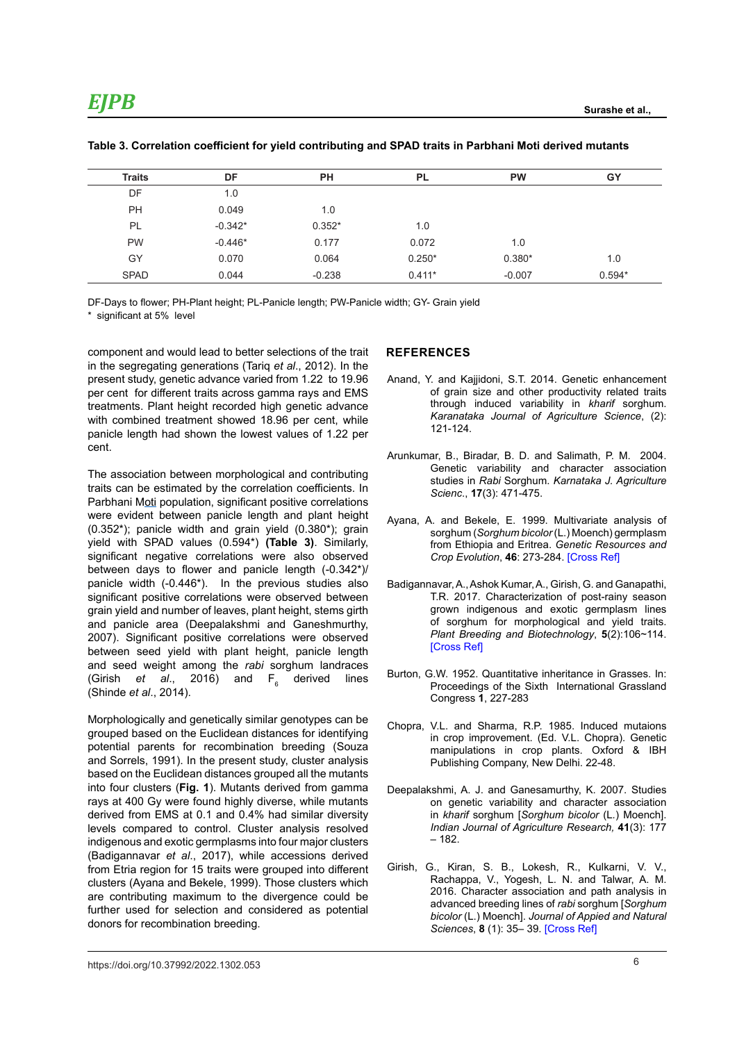| <b>Traits</b> | DF        | PH       | <b>PL</b> | <b>PW</b> | GY       |
|---------------|-----------|----------|-----------|-----------|----------|
| DF            | 1.0       |          |           |           |          |
| <b>PH</b>     | 0.049     | 1.0      |           |           |          |
| PL            | $-0.342*$ | $0.352*$ | 1.0       |           |          |
| <b>PW</b>     | $-0.446*$ | 0.177    | 0.072     | 1.0       |          |
| GY            | 0.070     | 0.064    | $0.250*$  | $0.380*$  | 1.0      |
| <b>SPAD</b>   | 0.044     | $-0.238$ | $0.411*$  | $-0.007$  | $0.594*$ |

#### **Table 3. Correlation coefficient for yield contributing and SPAD traits in Parbhani Moti derived mutants**

DF-Days to flower; PH-Plant height; PL-Panicle length; PW-Panicle width; GY- Grain yield \* significant at 5% level

component and would lead to better selections of the trait in the segregating generations (Tariq *et al*., 2012). In the present study, genetic advance varied from 1.22 to 19.96 per cent for different traits across gamma rays and EMS treatments. Plant height recorded high genetic advance with combined treatment showed 18.96 per cent, while panicle length had shown the lowest values of 1.22 per cent.

The association between morphological and contributing traits can be estimated by the correlation coefficients. In Parbhani Moti population, significant positive correlations were evident between panicle length and plant height (0.352\*); panicle width and grain yield (0.380\*); grain yield with SPAD values (0.594\*) **(Table 3)**. Similarly, significant negative correlations were also observed between days to flower and panicle length (-0.342\*)/ panicle width (-0.446\*). In the previous studies also significant positive correlations were observed between grain yield and number of leaves, plant height, stems girth and panicle area (Deepalakshmi and Ganeshmurthy, 2007). Significant positive correlations were observed between seed yield with plant height, panicle length and seed weight among the *rabi* sorghum landraces (Girish *et al.*, 2016) and  $F<sub>6</sub>$  derived lines (Shinde *et al*., 2014).

Morphologically and genetically similar genotypes can be grouped based on the Euclidean distances for identifying potential parents for recombination breeding (Souza and Sorrels, 1991). In the present study, cluster analysis based on the Euclidean distances grouped all the mutants into four clusters (**Fig. 1**). Mutants derived from gamma rays at 400 Gy were found highly diverse, while mutants derived from EMS at 0.1 and 0.4% had similar diversity levels compared to control. Cluster analysis resolved indigenous and exotic germplasms into four major clusters (Badigannavar *et al*., 2017), while accessions derived from Etria region for 15 traits were grouped into different clusters (Ayana and Bekele, 1999). Those clusters which are contributing maximum to the divergence could be further used for selection and considered as potential donors for recombination breeding.

#### **REFERENCES**

- Anand, Y. and Kajjidoni, S.T. 2014. Genetic enhancement of grain size and other productivity related traits through induced variability in *kharif* sorghum. *Karanataka Journal of Agriculture Science*, (2): 121-124*.*
- Arunkumar, B., Biradar, B. D. and Salimath, P. M. 2004. Genetic variability and character association studies in *Rabi* Sorghum. *Karnataka J. Agriculture Scienc*., **17**(3): 471-475.
- Ayana, A. and Bekele, E. 1999. Multivariate analysis of sorghum (*Sorghum bicolor* (L.) Moench) germplasm from Ethiopia and Eritrea. *Genetic Resources and Crop Evolution*, **46**: 273-284. [\[Cross Ref\]](https://doi.org/10.1023/A:1008657120946)
- Badigannavar, A., Ashok Kumar, A., Girish, G. and Ganapathi, T.R. 2017. Characterization of post-rainy season grown indigenous and exotic germplasm lines of sorghum for morphological and yield traits. *Plant Breeding and Biotechnology*, **5**(2):106~114. **[\[Cross Ref\]](https://doi.org/10.9787/PBB.2017.5.2.106)**
- Burton, G.W. 1952. Quantitative inheritance in Grasses. In: Proceedings of the Sixth International Grassland Congress **1**, 227-283
- Chopra, V.L. and Sharma, R.P. 1985. Induced mutaions in crop improvement. (Ed. V.L. Chopra). Genetic manipulations in crop plants. Oxford & IBH Publishing Company, New Delhi. 22-48.
- Deepalakshmi, A. J. and Ganesamurthy, K. 2007. Studies on genetic variability and character association in *kharif* sorghum [*Sorghum bicolor* (L*.*) Moench]. *Indian Journal of Agriculture Research,* **41**(3): 177 – 182.
- Girish, G., Kiran, S. B., Lokesh, R., Kulkarni, V. V., Rachappa, V., Yogesh, L. N. and Talwar, A. M. 2016. Character association and path analysis in advanced breeding lines of *rabi* sorghum [*Sorghum bicolor* (L.) Moench]. *Journal of Appied and Natural Sciences*, **8** (1): 35– 39. [\[Cross Ref\]](https://doi.org/10.31018/jans.v8i1.742)